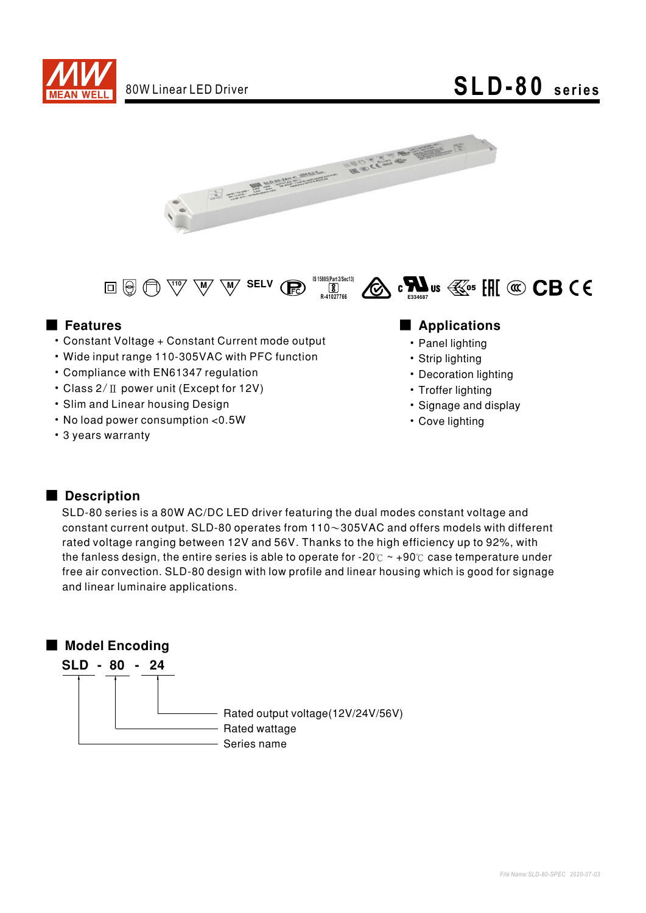

# 80W Linear LED Driver **SLD-80 series**





- Constant Voltage + Constant Current mode output
- Wide input range 110-305VAC with PFC function
- Compliance with EN61347 regulation
- Class  $2/\Pi$  power unit (Except for 12V)
- Slim and Linear housing Design
- No load power consumption < 0.5W
- 3 years warranty

### ■ Features ■ Preactions

- Panel lighting
- Strip lighting
- Decoration lighting
- Troffer lighting
- Signage and display
- Cove lighting

### ■ Description

SLD-80 series is a 80W AC/DC LED driver featuring the dual modes constant voltage and constant current output. SLD-80 operates from  $110~305$ VAC and offers models with different rated voltage ranging between 12V and 56V. Thanks to the high efficiency up to 92%, with the fanless design, the entire series is able to operate for -20 $\degree$  ~ +90 $\degree$  case temperature under free air convection. SLD-80 design with low profile and linear housing which is good for signage and linear luminaire applications.

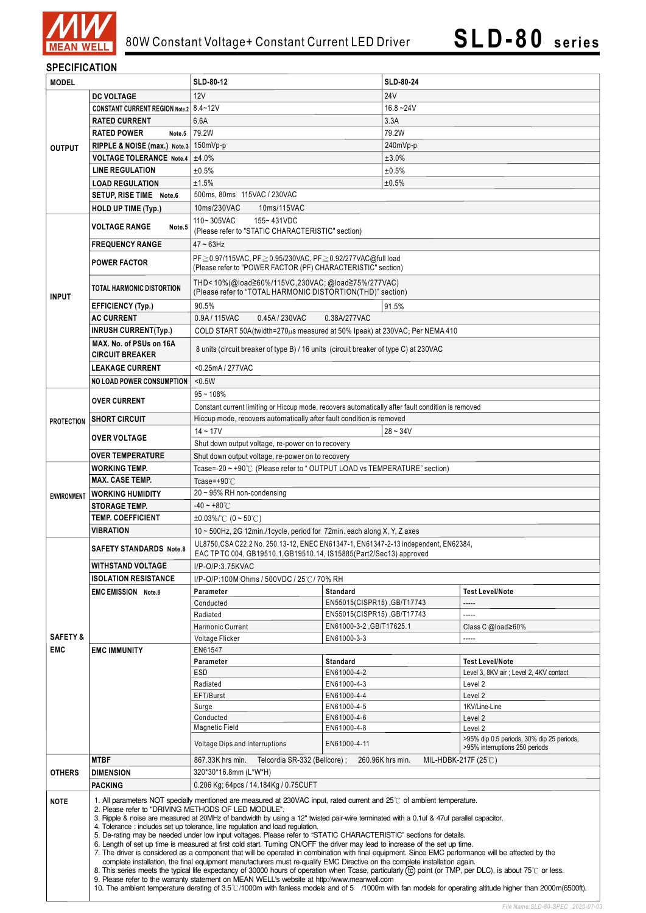

### **SPECIFICATION**

| <b>MODEL</b>                      |                                                                                                                                                                                                                                                                                                                                                                                                                                                                                                                                                                                                                                                                                                                                                                                                                                                                                                                                                                                                                                                                                                                                                                                                                    | <b>SLD-80-12</b>                                                                                       | <b>SLD-80-24</b>                        |              |                                           |  |  |
|-----------------------------------|--------------------------------------------------------------------------------------------------------------------------------------------------------------------------------------------------------------------------------------------------------------------------------------------------------------------------------------------------------------------------------------------------------------------------------------------------------------------------------------------------------------------------------------------------------------------------------------------------------------------------------------------------------------------------------------------------------------------------------------------------------------------------------------------------------------------------------------------------------------------------------------------------------------------------------------------------------------------------------------------------------------------------------------------------------------------------------------------------------------------------------------------------------------------------------------------------------------------|--------------------------------------------------------------------------------------------------------|-----------------------------------------|--------------|-------------------------------------------|--|--|
|                                   | <b>DC VOLTAGE</b>                                                                                                                                                                                                                                                                                                                                                                                                                                                                                                                                                                                                                                                                                                                                                                                                                                                                                                                                                                                                                                                                                                                                                                                                  | 12V                                                                                                    |                                         | <b>24V</b>   |                                           |  |  |
|                                   | CONSTANT CURRENT REGION Note.2   8.4~12V                                                                                                                                                                                                                                                                                                                                                                                                                                                                                                                                                                                                                                                                                                                                                                                                                                                                                                                                                                                                                                                                                                                                                                           |                                                                                                        |                                         | $16.8 - 24V$ |                                           |  |  |
|                                   | <b>RATED CURRENT</b>                                                                                                                                                                                                                                                                                                                                                                                                                                                                                                                                                                                                                                                                                                                                                                                                                                                                                                                                                                                                                                                                                                                                                                                               | 6.6A                                                                                                   |                                         | 3.3A         |                                           |  |  |
|                                   | <b>RATED POWER</b><br>Note.5                                                                                                                                                                                                                                                                                                                                                                                                                                                                                                                                                                                                                                                                                                                                                                                                                                                                                                                                                                                                                                                                                                                                                                                       | 79.2W                                                                                                  |                                         | 79.2W        |                                           |  |  |
| <b>OUTPUT</b>                     | RIPPLE & NOISE (max.) Note.3 150mVp-p                                                                                                                                                                                                                                                                                                                                                                                                                                                                                                                                                                                                                                                                                                                                                                                                                                                                                                                                                                                                                                                                                                                                                                              |                                                                                                        |                                         | 240mVp-p     |                                           |  |  |
|                                   | <b>VOLTAGE TOLERANCE Note.4</b>                                                                                                                                                                                                                                                                                                                                                                                                                                                                                                                                                                                                                                                                                                                                                                                                                                                                                                                                                                                                                                                                                                                                                                                    | $\pm 4.0%$                                                                                             |                                         | ±3.0%        |                                           |  |  |
|                                   | <b>LINE REGULATION</b>                                                                                                                                                                                                                                                                                                                                                                                                                                                                                                                                                                                                                                                                                                                                                                                                                                                                                                                                                                                                                                                                                                                                                                                             | ±0.5%                                                                                                  |                                         | ±0.5%        |                                           |  |  |
|                                   | <b>LOAD REGULATION</b>                                                                                                                                                                                                                                                                                                                                                                                                                                                                                                                                                                                                                                                                                                                                                                                                                                                                                                                                                                                                                                                                                                                                                                                             | ±1.5%                                                                                                  |                                         | ±0.5%        |                                           |  |  |
|                                   | SETUP, RISE TIME Note.6                                                                                                                                                                                                                                                                                                                                                                                                                                                                                                                                                                                                                                                                                                                                                                                                                                                                                                                                                                                                                                                                                                                                                                                            | 500ms, 80ms 115VAC / 230VAC                                                                            |                                         |              |                                           |  |  |
|                                   | <b>HOLD UP TIME (Typ.)</b>                                                                                                                                                                                                                                                                                                                                                                                                                                                                                                                                                                                                                                                                                                                                                                                                                                                                                                                                                                                                                                                                                                                                                                                         | 10ms/230VAC<br>10ms/115VAC                                                                             |                                         |              |                                           |  |  |
|                                   |                                                                                                                                                                                                                                                                                                                                                                                                                                                                                                                                                                                                                                                                                                                                                                                                                                                                                                                                                                                                                                                                                                                                                                                                                    | 110~305VAC<br>155~431VDC                                                                               |                                         |              |                                           |  |  |
|                                   | <b>VOLTAGE RANGE</b><br>Note.5                                                                                                                                                                                                                                                                                                                                                                                                                                                                                                                                                                                                                                                                                                                                                                                                                                                                                                                                                                                                                                                                                                                                                                                     | (Please refer to "STATIC CHARACTERISTIC" section)                                                      |                                         |              |                                           |  |  |
|                                   | <b>FREQUENCY RANGE</b>                                                                                                                                                                                                                                                                                                                                                                                                                                                                                                                                                                                                                                                                                                                                                                                                                                                                                                                                                                                                                                                                                                                                                                                             | $47 - 63$ Hz                                                                                           |                                         |              |                                           |  |  |
|                                   |                                                                                                                                                                                                                                                                                                                                                                                                                                                                                                                                                                                                                                                                                                                                                                                                                                                                                                                                                                                                                                                                                                                                                                                                                    | PF≥0.97/115VAC, PF≥0.95/230VAC, PF≥0.92/277VAC@full load                                               |                                         |              |                                           |  |  |
|                                   | <b>POWER FACTOR</b>                                                                                                                                                                                                                                                                                                                                                                                                                                                                                                                                                                                                                                                                                                                                                                                                                                                                                                                                                                                                                                                                                                                                                                                                | (Please refer to "POWER FACTOR (PF) CHARACTERISTIC" section)                                           |                                         |              |                                           |  |  |
|                                   |                                                                                                                                                                                                                                                                                                                                                                                                                                                                                                                                                                                                                                                                                                                                                                                                                                                                                                                                                                                                                                                                                                                                                                                                                    | THD<10%(@load≧60%/115VC,230VAC; @load≧75%/277VAC)                                                      |                                         |              |                                           |  |  |
| <b>INPUT</b>                      | <b>TOTAL HARMONIC DISTORTION</b>                                                                                                                                                                                                                                                                                                                                                                                                                                                                                                                                                                                                                                                                                                                                                                                                                                                                                                                                                                                                                                                                                                                                                                                   | (Please refer to "TOTAL HARMONIC DISTORTION(THD)" section)                                             |                                         |              |                                           |  |  |
|                                   | <b>EFFICIENCY (Typ.)</b>                                                                                                                                                                                                                                                                                                                                                                                                                                                                                                                                                                                                                                                                                                                                                                                                                                                                                                                                                                                                                                                                                                                                                                                           | 90 5%<br>91.5%                                                                                         |                                         |              |                                           |  |  |
|                                   | <b>AC CURRENT</b>                                                                                                                                                                                                                                                                                                                                                                                                                                                                                                                                                                                                                                                                                                                                                                                                                                                                                                                                                                                                                                                                                                                                                                                                  | 0.9A/115VAC<br>0.45A / 230VAC<br>0.38A/277VAC                                                          |                                         |              |                                           |  |  |
|                                   | <b>INRUSH CURRENT(Typ.)</b>                                                                                                                                                                                                                                                                                                                                                                                                                                                                                                                                                                                                                                                                                                                                                                                                                                                                                                                                                                                                                                                                                                                                                                                        | COLD START 50A(twidth=270 $\mu$ s measured at 50% Ipeak) at 230VAC; Per NEMA 410                       |                                         |              |                                           |  |  |
|                                   | MAX. No. of PSUs on 16A                                                                                                                                                                                                                                                                                                                                                                                                                                                                                                                                                                                                                                                                                                                                                                                                                                                                                                                                                                                                                                                                                                                                                                                            | 8 units (circuit breaker of type B) / 16 units (circuit breaker of type C) at 230VAC                   |                                         |              |                                           |  |  |
|                                   | <b>CIRCUIT BREAKER</b>                                                                                                                                                                                                                                                                                                                                                                                                                                                                                                                                                                                                                                                                                                                                                                                                                                                                                                                                                                                                                                                                                                                                                                                             |                                                                                                        |                                         |              |                                           |  |  |
|                                   | <b>LEAKAGE CURRENT</b>                                                                                                                                                                                                                                                                                                                                                                                                                                                                                                                                                                                                                                                                                                                                                                                                                                                                                                                                                                                                                                                                                                                                                                                             | <0.25mA/277VAC                                                                                         |                                         |              |                                           |  |  |
|                                   | NO LOAD POWER CONSUMPTION                                                                                                                                                                                                                                                                                                                                                                                                                                                                                                                                                                                                                                                                                                                                                                                                                                                                                                                                                                                                                                                                                                                                                                                          | $0.5W$                                                                                                 |                                         |              |                                           |  |  |
| <b>PROTECTION</b>                 |                                                                                                                                                                                                                                                                                                                                                                                                                                                                                                                                                                                                                                                                                                                                                                                                                                                                                                                                                                                                                                                                                                                                                                                                                    | $95 - 108%$                                                                                            |                                         |              |                                           |  |  |
|                                   | <b>OVER CURRENT</b>                                                                                                                                                                                                                                                                                                                                                                                                                                                                                                                                                                                                                                                                                                                                                                                                                                                                                                                                                                                                                                                                                                                                                                                                | Constant current limiting or Hiccup mode, recovers automatically after fault condition is removed      |                                         |              |                                           |  |  |
|                                   | <b>SHORT CIRCUIT</b>                                                                                                                                                                                                                                                                                                                                                                                                                                                                                                                                                                                                                                                                                                                                                                                                                                                                                                                                                                                                                                                                                                                                                                                               | Hiccup mode, recovers automatically after fault condition is removed                                   |                                         |              |                                           |  |  |
|                                   |                                                                                                                                                                                                                                                                                                                                                                                                                                                                                                                                                                                                                                                                                                                                                                                                                                                                                                                                                                                                                                                                                                                                                                                                                    | $14 - 17V$<br>$28 - 34V$                                                                               |                                         |              |                                           |  |  |
|                                   | <b>OVER VOLTAGE</b>                                                                                                                                                                                                                                                                                                                                                                                                                                                                                                                                                                                                                                                                                                                                                                                                                                                                                                                                                                                                                                                                                                                                                                                                | Shut down output voltage, re-power on to recovery                                                      |                                         |              |                                           |  |  |
|                                   | <b>OVER TEMPERATURE</b>                                                                                                                                                                                                                                                                                                                                                                                                                                                                                                                                                                                                                                                                                                                                                                                                                                                                                                                                                                                                                                                                                                                                                                                            | Shut down output voltage, re-power on to recovery                                                      |                                         |              |                                           |  |  |
|                                   | <b>WORKING TEMP.</b>                                                                                                                                                                                                                                                                                                                                                                                                                                                                                                                                                                                                                                                                                                                                                                                                                                                                                                                                                                                                                                                                                                                                                                                               | Tcase=-20 ~ +90℃ (Please refer to "OUTPUT LOAD vs TEMPERATURE" section)                                |                                         |              |                                           |  |  |
| <b>ENVIRONMENT</b>                | <b>MAX. CASE TEMP.</b>                                                                                                                                                                                                                                                                                                                                                                                                                                                                                                                                                                                                                                                                                                                                                                                                                                                                                                                                                                                                                                                                                                                                                                                             | Tcase=+90 $°C$                                                                                         |                                         |              |                                           |  |  |
|                                   | <b>WORKING HUMIDITY</b>                                                                                                                                                                                                                                                                                                                                                                                                                                                                                                                                                                                                                                                                                                                                                                                                                                                                                                                                                                                                                                                                                                                                                                                            | $20 \sim 95\%$ RH non-condensing                                                                       |                                         |              |                                           |  |  |
|                                   | <b>STORAGE TEMP.</b>                                                                                                                                                                                                                                                                                                                                                                                                                                                                                                                                                                                                                                                                                                                                                                                                                                                                                                                                                                                                                                                                                                                                                                                               | $-40 - +80^{\circ}$ C                                                                                  |                                         |              |                                           |  |  |
|                                   | <b>TEMP. COEFFICIENT</b>                                                                                                                                                                                                                                                                                                                                                                                                                                                                                                                                                                                                                                                                                                                                                                                                                                                                                                                                                                                                                                                                                                                                                                                           | $\pm 0.03\%$ /°C (0 ~ 50°C)                                                                            |                                         |              |                                           |  |  |
|                                   | VIBRATION                                                                                                                                                                                                                                                                                                                                                                                                                                                                                                                                                                                                                                                                                                                                                                                                                                                                                                                                                                                                                                                                                                                                                                                                          | 10 ~ 500Hz, 2G 12min./1cycle, period for 72min. each along X, Y, Z axes                                |                                         |              |                                           |  |  |
|                                   | <b>SAFETY STANDARDS Note.8</b>                                                                                                                                                                                                                                                                                                                                                                                                                                                                                                                                                                                                                                                                                                                                                                                                                                                                                                                                                                                                                                                                                                                                                                                     | UL8750, CSA C22.2 No. 250.13-12, ENEC EN61347-1, EN61347-2-13 independent, EN62384,                    |                                         |              |                                           |  |  |
|                                   |                                                                                                                                                                                                                                                                                                                                                                                                                                                                                                                                                                                                                                                                                                                                                                                                                                                                                                                                                                                                                                                                                                                                                                                                                    | EAC TP TC 004, GB19510.1, GB19510.14, IS15885(Part2/Sec13) approved                                    |                                         |              |                                           |  |  |
|                                   | <b>WITHSTAND VOLTAGE</b>                                                                                                                                                                                                                                                                                                                                                                                                                                                                                                                                                                                                                                                                                                                                                                                                                                                                                                                                                                                                                                                                                                                                                                                           | $I/P$ -O/P:3.75KVAC                                                                                    |                                         |              |                                           |  |  |
|                                   | <b>ISOLATION RESISTANCE</b>                                                                                                                                                                                                                                                                                                                                                                                                                                                                                                                                                                                                                                                                                                                                                                                                                                                                                                                                                                                                                                                                                                                                                                                        | I/P-O/P:100M Ohms / 500VDC / 25℃/ 70% RH                                                               |                                         |              |                                           |  |  |
| <b>SAFETY &amp;</b><br><b>EMC</b> | <b>EMC EMISSION Note.8</b>                                                                                                                                                                                                                                                                                                                                                                                                                                                                                                                                                                                                                                                                                                                                                                                                                                                                                                                                                                                                                                                                                                                                                                                         | Parameter<br>Conducted                                                                                 | Standard<br>EN55015(CISPR15), GB/T17743 |              | <b>Test Level/Note</b><br>-----           |  |  |
|                                   |                                                                                                                                                                                                                                                                                                                                                                                                                                                                                                                                                                                                                                                                                                                                                                                                                                                                                                                                                                                                                                                                                                                                                                                                                    | Radiated                                                                                               | EN55015(CISPR15), GB/T17743             |              | -----                                     |  |  |
|                                   |                                                                                                                                                                                                                                                                                                                                                                                                                                                                                                                                                                                                                                                                                                                                                                                                                                                                                                                                                                                                                                                                                                                                                                                                                    | Harmonic Current                                                                                       | EN61000-3-2, GB/T17625.1                |              | Class C @load≥60%                         |  |  |
|                                   |                                                                                                                                                                                                                                                                                                                                                                                                                                                                                                                                                                                                                                                                                                                                                                                                                                                                                                                                                                                                                                                                                                                                                                                                                    | Voltage Flicker                                                                                        | EN61000-3-3                             |              | -----                                     |  |  |
|                                   | <b>EMC IMMUNITY</b>                                                                                                                                                                                                                                                                                                                                                                                                                                                                                                                                                                                                                                                                                                                                                                                                                                                                                                                                                                                                                                                                                                                                                                                                | EN61547                                                                                                |                                         |              |                                           |  |  |
|                                   |                                                                                                                                                                                                                                                                                                                                                                                                                                                                                                                                                                                                                                                                                                                                                                                                                                                                                                                                                                                                                                                                                                                                                                                                                    | Parameter                                                                                              | Standard                                |              | <b>Test Level/Note</b>                    |  |  |
|                                   |                                                                                                                                                                                                                                                                                                                                                                                                                                                                                                                                                                                                                                                                                                                                                                                                                                                                                                                                                                                                                                                                                                                                                                                                                    | <b>ESD</b>                                                                                             | EN61000-4-2                             |              | Level 3, 8KV air ; Level 2, 4KV contact   |  |  |
|                                   |                                                                                                                                                                                                                                                                                                                                                                                                                                                                                                                                                                                                                                                                                                                                                                                                                                                                                                                                                                                                                                                                                                                                                                                                                    | Radiated                                                                                               | EN61000-4-3                             |              | Level 2                                   |  |  |
|                                   |                                                                                                                                                                                                                                                                                                                                                                                                                                                                                                                                                                                                                                                                                                                                                                                                                                                                                                                                                                                                                                                                                                                                                                                                                    | EFT/Burst                                                                                              | EN61000-4-4                             |              | Level 2                                   |  |  |
|                                   |                                                                                                                                                                                                                                                                                                                                                                                                                                                                                                                                                                                                                                                                                                                                                                                                                                                                                                                                                                                                                                                                                                                                                                                                                    | Surge<br>Conducted                                                                                     | EN61000-4-5<br>EN61000-4-6              |              | 1KV/Line-Line                             |  |  |
|                                   |                                                                                                                                                                                                                                                                                                                                                                                                                                                                                                                                                                                                                                                                                                                                                                                                                                                                                                                                                                                                                                                                                                                                                                                                                    | Magnetic Field                                                                                         | EN61000-4-8                             |              | Level 2<br>Level 2                        |  |  |
|                                   |                                                                                                                                                                                                                                                                                                                                                                                                                                                                                                                                                                                                                                                                                                                                                                                                                                                                                                                                                                                                                                                                                                                                                                                                                    |                                                                                                        |                                         |              | >95% dip 0.5 periods, 30% dip 25 periods, |  |  |
|                                   |                                                                                                                                                                                                                                                                                                                                                                                                                                                                                                                                                                                                                                                                                                                                                                                                                                                                                                                                                                                                                                                                                                                                                                                                                    | Voltage Dips and Interruptions<br>EN61000-4-11<br>>95% interruptions 250 periods                       |                                         |              |                                           |  |  |
| <b>OTHERS</b>                     | <b>MTBF</b>                                                                                                                                                                                                                                                                                                                                                                                                                                                                                                                                                                                                                                                                                                                                                                                                                                                                                                                                                                                                                                                                                                                                                                                                        | Telcordia SR-332 (Bellcore);<br>260.96K hrs min.<br>MIL-HDBK-217F $(25^{\circ}$ C)<br>867.33K hrs min. |                                         |              |                                           |  |  |
|                                   | <b>DIMENSION</b>                                                                                                                                                                                                                                                                                                                                                                                                                                                                                                                                                                                                                                                                                                                                                                                                                                                                                                                                                                                                                                                                                                                                                                                                   | 320*30*16.8mm (L*W*H)                                                                                  |                                         |              |                                           |  |  |
|                                   | <b>PACKING</b>                                                                                                                                                                                                                                                                                                                                                                                                                                                                                                                                                                                                                                                                                                                                                                                                                                                                                                                                                                                                                                                                                                                                                                                                     | 0.206 Kg; 64pcs / 14.184Kg / 0.75CUFT                                                                  |                                         |              |                                           |  |  |
| <b>NOTE</b>                       | 1. All parameters NOT specially mentioned are measured at 230VAC input, rated current and 25°C of ambient temperature.<br>2. Please refer to "DRIVING METHODS OF LED MODULE".<br>3. Ripple & noise are measured at 20MHz of bandwidth by using a 12" twisted pair-wire terminated with a 0.1uf & 47uf parallel capacitor.<br>4. Tolerance: includes set up tolerance, line regulation and load regulation.<br>5. De-rating may be needed under low input voltages. Please refer to "STATIC CHARACTERISTIC" sections for details.<br>6. Length of set up time is measured at first cold start. Turning ON/OFF the driver may lead to increase of the set up time.<br>7. The driver is considered as a component that will be operated in combination with final equipment. Since EMC performance will be affected by the<br>complete installation, the final equipment manufacturers must re-qualify EMC Directive on the complete installation again.<br>8. This series meets the typical life expectancy of 30000 hours of operation when Tcase, particularly (tc) point (or TMP, per DLC), is about 75°C or less.<br>9. Please refer to the warranty statement on MEAN WELL's website at http://www.meanwell.com |                                                                                                        |                                         |              |                                           |  |  |

10. The ambient temperature derating of 3.5°C/1000m with fanless models and of 5 /1000m with fan models for operating altitude higher than 2000m(6500ft).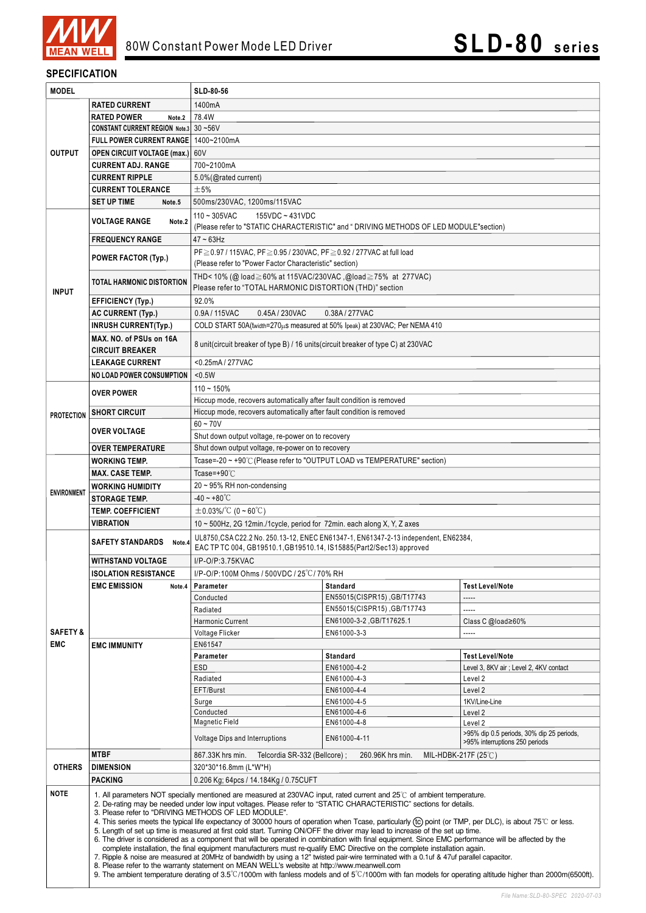

### **SPECIFICATION**

| <b>MODEL</b>                      |                                                                                                                                                                                                                                                                                                                                                                                                                                                                                                                                                                                                                                                                                                                                                                                                                                                                                                                                                                                                                                                                                                                                   | SLD-80-56                                                                                                                                                   |                                                         |                                           |  |  |
|-----------------------------------|-----------------------------------------------------------------------------------------------------------------------------------------------------------------------------------------------------------------------------------------------------------------------------------------------------------------------------------------------------------------------------------------------------------------------------------------------------------------------------------------------------------------------------------------------------------------------------------------------------------------------------------------------------------------------------------------------------------------------------------------------------------------------------------------------------------------------------------------------------------------------------------------------------------------------------------------------------------------------------------------------------------------------------------------------------------------------------------------------------------------------------------|-------------------------------------------------------------------------------------------------------------------------------------------------------------|---------------------------------------------------------|-------------------------------------------|--|--|
|                                   | <b>RATED CURRENT</b>                                                                                                                                                                                                                                                                                                                                                                                                                                                                                                                                                                                                                                                                                                                                                                                                                                                                                                                                                                                                                                                                                                              | 1400mA                                                                                                                                                      |                                                         |                                           |  |  |
|                                   | <b>RATED POWER</b><br>Note.2                                                                                                                                                                                                                                                                                                                                                                                                                                                                                                                                                                                                                                                                                                                                                                                                                                                                                                                                                                                                                                                                                                      | 78.4W                                                                                                                                                       |                                                         |                                           |  |  |
|                                   | CONSTANT CURRENT REGION Note.3 30~56V                                                                                                                                                                                                                                                                                                                                                                                                                                                                                                                                                                                                                                                                                                                                                                                                                                                                                                                                                                                                                                                                                             |                                                                                                                                                             |                                                         |                                           |  |  |
|                                   | FULL POWER CURRENT RANGE   1400~2100mA                                                                                                                                                                                                                                                                                                                                                                                                                                                                                                                                                                                                                                                                                                                                                                                                                                                                                                                                                                                                                                                                                            |                                                                                                                                                             |                                                         |                                           |  |  |
| <b>OUTPUT</b>                     | <b>OPEN CIRCUIT VOLTAGE (max.)</b> 60V                                                                                                                                                                                                                                                                                                                                                                                                                                                                                                                                                                                                                                                                                                                                                                                                                                                                                                                                                                                                                                                                                            |                                                                                                                                                             |                                                         |                                           |  |  |
|                                   | <b>CURRENT ADJ. RANGE</b>                                                                                                                                                                                                                                                                                                                                                                                                                                                                                                                                                                                                                                                                                                                                                                                                                                                                                                                                                                                                                                                                                                         | 700~2100mA                                                                                                                                                  |                                                         |                                           |  |  |
|                                   | <b>CURRENT RIPPLE</b>                                                                                                                                                                                                                                                                                                                                                                                                                                                                                                                                                                                                                                                                                                                                                                                                                                                                                                                                                                                                                                                                                                             | 5.0% (@rated current)                                                                                                                                       |                                                         |                                           |  |  |
|                                   | <b>CURRENT TOLERANCE</b>                                                                                                                                                                                                                                                                                                                                                                                                                                                                                                                                                                                                                                                                                                                                                                                                                                                                                                                                                                                                                                                                                                          | ±5%                                                                                                                                                         |                                                         |                                           |  |  |
|                                   | <b>SET UP TIME</b><br>Note.5                                                                                                                                                                                                                                                                                                                                                                                                                                                                                                                                                                                                                                                                                                                                                                                                                                                                                                                                                                                                                                                                                                      | 500ms/230VAC, 1200ms/115VAC                                                                                                                                 |                                                         |                                           |  |  |
|                                   | <b>VOLTAGE RANGE</b><br>Note.2                                                                                                                                                                                                                                                                                                                                                                                                                                                                                                                                                                                                                                                                                                                                                                                                                                                                                                                                                                                                                                                                                                    | $110 - 305$ VAC<br>155VDC ~ 431VDC                                                                                                                          |                                                         |                                           |  |  |
|                                   |                                                                                                                                                                                                                                                                                                                                                                                                                                                                                                                                                                                                                                                                                                                                                                                                                                                                                                                                                                                                                                                                                                                                   | (Please refer to "STATIC CHARACTERISTIC" and "DRIVING METHODS OF LED MODULE"section)                                                                        |                                                         |                                           |  |  |
|                                   | <b>FREQUENCY RANGE</b>                                                                                                                                                                                                                                                                                                                                                                                                                                                                                                                                                                                                                                                                                                                                                                                                                                                                                                                                                                                                                                                                                                            | $47 \sim 63$ Hz                                                                                                                                             |                                                         |                                           |  |  |
|                                   | <b>POWER FACTOR (Typ.)</b>                                                                                                                                                                                                                                                                                                                                                                                                                                                                                                                                                                                                                                                                                                                                                                                                                                                                                                                                                                                                                                                                                                        | PF≥0.97 / 115VAC, PF≥0.95 / 230VAC, PF≥0.92 / 277VAC at full load<br>(Please refer to "Power Factor Characteristic" section)                                |                                                         |                                           |  |  |
|                                   |                                                                                                                                                                                                                                                                                                                                                                                                                                                                                                                                                                                                                                                                                                                                                                                                                                                                                                                                                                                                                                                                                                                                   | THD< 10% (@ load≧60% at 115VAC/230VAC, @load≧75% at 277VAC)                                                                                                 |                                                         |                                           |  |  |
|                                   | TOTAL HARMONIC DISTORTION                                                                                                                                                                                                                                                                                                                                                                                                                                                                                                                                                                                                                                                                                                                                                                                                                                                                                                                                                                                                                                                                                                         | Please refer to "TOTAL HARMONIC DISTORTION (THD)" section                                                                                                   |                                                         |                                           |  |  |
| <b>INPUT</b>                      |                                                                                                                                                                                                                                                                                                                                                                                                                                                                                                                                                                                                                                                                                                                                                                                                                                                                                                                                                                                                                                                                                                                                   | 92.0%                                                                                                                                                       |                                                         |                                           |  |  |
|                                   | <b>EFFICIENCY (Typ.)</b>                                                                                                                                                                                                                                                                                                                                                                                                                                                                                                                                                                                                                                                                                                                                                                                                                                                                                                                                                                                                                                                                                                          |                                                                                                                                                             |                                                         |                                           |  |  |
|                                   | <b>AC CURRENT (Typ.)</b>                                                                                                                                                                                                                                                                                                                                                                                                                                                                                                                                                                                                                                                                                                                                                                                                                                                                                                                                                                                                                                                                                                          | 0.9A/115VAC<br>0.45A / 230VAC<br>0.38A/277VAC                                                                                                               |                                                         |                                           |  |  |
|                                   | <b>INRUSH CURRENT(Typ.)</b>                                                                                                                                                                                                                                                                                                                                                                                                                                                                                                                                                                                                                                                                                                                                                                                                                                                                                                                                                                                                                                                                                                       | COLD START 50A(twidth=270µs measured at 50% Ipeak) at 230VAC; Per NEMA 410                                                                                  |                                                         |                                           |  |  |
|                                   | MAX. NO. of PSUs on 16A<br><b>CIRCUIT BREAKER</b>                                                                                                                                                                                                                                                                                                                                                                                                                                                                                                                                                                                                                                                                                                                                                                                                                                                                                                                                                                                                                                                                                 | 8 unit(circuit breaker of type B) / 16 units(circuit breaker of type C) at 230VAC                                                                           |                                                         |                                           |  |  |
|                                   | <b>LEAKAGE CURRENT</b>                                                                                                                                                                                                                                                                                                                                                                                                                                                                                                                                                                                                                                                                                                                                                                                                                                                                                                                                                                                                                                                                                                            | <0.25mA/277VAC                                                                                                                                              |                                                         |                                           |  |  |
|                                   | <b>NO LOAD POWER CONSUMPTION</b>                                                                                                                                                                                                                                                                                                                                                                                                                                                                                                                                                                                                                                                                                                                                                                                                                                                                                                                                                                                                                                                                                                  | $0.5W$                                                                                                                                                      |                                                         |                                           |  |  |
|                                   |                                                                                                                                                                                                                                                                                                                                                                                                                                                                                                                                                                                                                                                                                                                                                                                                                                                                                                                                                                                                                                                                                                                                   | $110 - 150%$                                                                                                                                                |                                                         |                                           |  |  |
|                                   | <b>OVER POWER</b>                                                                                                                                                                                                                                                                                                                                                                                                                                                                                                                                                                                                                                                                                                                                                                                                                                                                                                                                                                                                                                                                                                                 | Hiccup mode, recovers automatically after fault condition is removed                                                                                        |                                                         |                                           |  |  |
| <b>PROTECTION</b>                 | <b>SHORT CIRCUIT</b>                                                                                                                                                                                                                                                                                                                                                                                                                                                                                                                                                                                                                                                                                                                                                                                                                                                                                                                                                                                                                                                                                                              | Hiccup mode, recovers automatically after fault condition is removed                                                                                        |                                                         |                                           |  |  |
|                                   |                                                                                                                                                                                                                                                                                                                                                                                                                                                                                                                                                                                                                                                                                                                                                                                                                                                                                                                                                                                                                                                                                                                                   | $60 - 70V$                                                                                                                                                  |                                                         |                                           |  |  |
|                                   | <b>OVER VOLTAGE</b>                                                                                                                                                                                                                                                                                                                                                                                                                                                                                                                                                                                                                                                                                                                                                                                                                                                                                                                                                                                                                                                                                                               | Shut down output voltage, re-power on to recovery                                                                                                           |                                                         |                                           |  |  |
|                                   | <b>OVER TEMPERATURE</b>                                                                                                                                                                                                                                                                                                                                                                                                                                                                                                                                                                                                                                                                                                                                                                                                                                                                                                                                                                                                                                                                                                           | Shut down output voltage, re-power on to recovery                                                                                                           |                                                         |                                           |  |  |
|                                   | WORKING TEMP.                                                                                                                                                                                                                                                                                                                                                                                                                                                                                                                                                                                                                                                                                                                                                                                                                                                                                                                                                                                                                                                                                                                     | Tcase=-20 ~ +90℃ (Please refer to "OUTPUT LOAD vs TEMPERATURE" section)                                                                                     |                                                         |                                           |  |  |
|                                   | <b>MAX. CASE TEMP.</b>                                                                                                                                                                                                                                                                                                                                                                                                                                                                                                                                                                                                                                                                                                                                                                                                                                                                                                                                                                                                                                                                                                            | Tcase=+90 $°C$                                                                                                                                              |                                                         |                                           |  |  |
| <b>ENVIRONMENT</b>                | <b>WORKING HUMIDITY</b>                                                                                                                                                                                                                                                                                                                                                                                                                                                                                                                                                                                                                                                                                                                                                                                                                                                                                                                                                                                                                                                                                                           | $20 \sim 95\%$ RH non-condensing                                                                                                                            |                                                         |                                           |  |  |
|                                   | <b>STORAGE TEMP.</b>                                                                                                                                                                                                                                                                                                                                                                                                                                                                                                                                                                                                                                                                                                                                                                                                                                                                                                                                                                                                                                                                                                              | $-40 - +80^{\circ}$ C                                                                                                                                       |                                                         |                                           |  |  |
|                                   | <b>TEMP. COEFFICIENT</b>                                                                                                                                                                                                                                                                                                                                                                                                                                                                                                                                                                                                                                                                                                                                                                                                                                                                                                                                                                                                                                                                                                          | $\pm$ 0.03%/°C (0~60°C)                                                                                                                                     |                                                         |                                           |  |  |
|                                   | VIBRATION                                                                                                                                                                                                                                                                                                                                                                                                                                                                                                                                                                                                                                                                                                                                                                                                                                                                                                                                                                                                                                                                                                                         | 10 $\sim$ 500Hz, 2G 12min./1 cycle, period for 72min. each along X, Y, Z axes                                                                               |                                                         |                                           |  |  |
|                                   | <b>SAFETY STANDARDS</b><br>Note.4                                                                                                                                                                                                                                                                                                                                                                                                                                                                                                                                                                                                                                                                                                                                                                                                                                                                                                                                                                                                                                                                                                 | UL8750, CSA C22.2 No. 250.13-12, ENEC EN61347-1, EN61347-2-13 independent, EN62384,<br>EAC TP TC 004, GB19510.1, GB19510.14, IS15885 (Part2/Sec13) approved |                                                         |                                           |  |  |
|                                   |                                                                                                                                                                                                                                                                                                                                                                                                                                                                                                                                                                                                                                                                                                                                                                                                                                                                                                                                                                                                                                                                                                                                   |                                                                                                                                                             |                                                         |                                           |  |  |
|                                   | WITHSTAND VOLTAGE                                                                                                                                                                                                                                                                                                                                                                                                                                                                                                                                                                                                                                                                                                                                                                                                                                                                                                                                                                                                                                                                                                                 | I/P-O/P:3.75KVAC                                                                                                                                            |                                                         |                                           |  |  |
|                                   | <b>ISOLATION RESISTANCE</b>                                                                                                                                                                                                                                                                                                                                                                                                                                                                                                                                                                                                                                                                                                                                                                                                                                                                                                                                                                                                                                                                                                       | I/P-O/P:100M Ohms / 500VDC / 25℃/ 70% RH                                                                                                                    |                                                         |                                           |  |  |
|                                   | <b>EMC EMISSION</b><br>Note.4                                                                                                                                                                                                                                                                                                                                                                                                                                                                                                                                                                                                                                                                                                                                                                                                                                                                                                                                                                                                                                                                                                     | Parameter                                                                                                                                                   | Standard                                                | <b>Test Level/Note</b>                    |  |  |
| <b>SAFETY &amp;</b><br><b>EMC</b> | <b>EMC IMMUNITY</b>                                                                                                                                                                                                                                                                                                                                                                                                                                                                                                                                                                                                                                                                                                                                                                                                                                                                                                                                                                                                                                                                                                               | Conducted                                                                                                                                                   | EN55015(CISPR15), GB/T17743                             | -----<br>-----                            |  |  |
|                                   |                                                                                                                                                                                                                                                                                                                                                                                                                                                                                                                                                                                                                                                                                                                                                                                                                                                                                                                                                                                                                                                                                                                                   | Radiated<br>Harmonic Current                                                                                                                                | EN55015(CISPR15), GB/T17743<br>EN61000-3-2, GB/T17625.1 | Class C @load≥60%                         |  |  |
|                                   |                                                                                                                                                                                                                                                                                                                                                                                                                                                                                                                                                                                                                                                                                                                                                                                                                                                                                                                                                                                                                                                                                                                                   | Voltage Flicker                                                                                                                                             | EN61000-3-3                                             | -----                                     |  |  |
|                                   |                                                                                                                                                                                                                                                                                                                                                                                                                                                                                                                                                                                                                                                                                                                                                                                                                                                                                                                                                                                                                                                                                                                                   | EN61547                                                                                                                                                     |                                                         |                                           |  |  |
|                                   |                                                                                                                                                                                                                                                                                                                                                                                                                                                                                                                                                                                                                                                                                                                                                                                                                                                                                                                                                                                                                                                                                                                                   | Parameter                                                                                                                                                   | <b>Standard</b>                                         | <b>Test Level/Note</b>                    |  |  |
|                                   |                                                                                                                                                                                                                                                                                                                                                                                                                                                                                                                                                                                                                                                                                                                                                                                                                                                                                                                                                                                                                                                                                                                                   | ESD                                                                                                                                                         | EN61000-4-2                                             | Level 3, 8KV air ; Level 2, 4KV contact   |  |  |
|                                   |                                                                                                                                                                                                                                                                                                                                                                                                                                                                                                                                                                                                                                                                                                                                                                                                                                                                                                                                                                                                                                                                                                                                   | Radiated                                                                                                                                                    | EN61000-4-3                                             | Level 2                                   |  |  |
|                                   |                                                                                                                                                                                                                                                                                                                                                                                                                                                                                                                                                                                                                                                                                                                                                                                                                                                                                                                                                                                                                                                                                                                                   | EFT/Burst                                                                                                                                                   | EN61000-4-4                                             | Level 2                                   |  |  |
|                                   |                                                                                                                                                                                                                                                                                                                                                                                                                                                                                                                                                                                                                                                                                                                                                                                                                                                                                                                                                                                                                                                                                                                                   | Surge                                                                                                                                                       | EN61000-4-5                                             | 1KV/Line-Line                             |  |  |
|                                   |                                                                                                                                                                                                                                                                                                                                                                                                                                                                                                                                                                                                                                                                                                                                                                                                                                                                                                                                                                                                                                                                                                                                   | Conducted<br>Magnetic Field                                                                                                                                 | EN61000-4-6<br>EN61000-4-8                              | Level 2<br>Level 2                        |  |  |
|                                   |                                                                                                                                                                                                                                                                                                                                                                                                                                                                                                                                                                                                                                                                                                                                                                                                                                                                                                                                                                                                                                                                                                                                   |                                                                                                                                                             |                                                         | >95% dip 0.5 periods, 30% dip 25 periods, |  |  |
|                                   |                                                                                                                                                                                                                                                                                                                                                                                                                                                                                                                                                                                                                                                                                                                                                                                                                                                                                                                                                                                                                                                                                                                                   | Voltage Dips and Interruptions<br>EN61000-4-11<br>>95% interruptions 250 periods                                                                            |                                                         |                                           |  |  |
| <b>OTHERS</b>                     | <b>MTBF</b>                                                                                                                                                                                                                                                                                                                                                                                                                                                                                                                                                                                                                                                                                                                                                                                                                                                                                                                                                                                                                                                                                                                       | Telcordia SR-332 (Bellcore) ;<br>260.96K hrs min.<br>MIL-HDBK-217F (25°C)<br>867.33K hrs min.                                                               |                                                         |                                           |  |  |
|                                   | <b>DIMENSION</b>                                                                                                                                                                                                                                                                                                                                                                                                                                                                                                                                                                                                                                                                                                                                                                                                                                                                                                                                                                                                                                                                                                                  | 320*30*16.8mm (L*W*H)                                                                                                                                       |                                                         |                                           |  |  |
|                                   | <b>PACKING</b>                                                                                                                                                                                                                                                                                                                                                                                                                                                                                                                                                                                                                                                                                                                                                                                                                                                                                                                                                                                                                                                                                                                    | 0.206 Kg; 64pcs / 14.184Kg / 0.75CUFT                                                                                                                       |                                                         |                                           |  |  |
| <b>NOTE</b>                       | 1. All parameters NOT specially mentioned are measured at 230VAC input, rated current and 25°C of ambient temperature.<br>2. De-rating may be needed under low input voltages. Please refer to "STATIC CHARACTERISTIC" sections for details.<br>3. Please refer to "DRIVING METHODS OF LED MODULE".<br>4. This series meets the typical life expectancy of 30000 hours of operation when Tcase, particularly (tc) point (or TMP, per DLC), is about 75°C or less.<br>5. Length of set up time is measured at first cold start. Turning ON/OFF the driver may lead to increase of the set up time.<br>6. The driver is considered as a component that will be operated in combination with final equipment. Since EMC performance will be affected by the<br>complete installation, the final equipment manufacturers must re-qualify EMC Directive on the complete installation again.<br>7. Ripple & noise are measured at 20MHz of bandwidth by using a 12" twisted pair-wire terminated with a 0.1uf & 47uf parallel capacitor.<br>8. Please refer to the warranty statement on MEAN WELL's website at http://www.meanwell.com |                                                                                                                                                             |                                                         |                                           |  |  |
|                                   | 9. The ambient temperature derating of 3.5°C/1000m with fanless models and of 5°C/1000m with fan models for operating altitude higher than 2000m(6500ft).                                                                                                                                                                                                                                                                                                                                                                                                                                                                                                                                                                                                                                                                                                                                                                                                                                                                                                                                                                         |                                                                                                                                                             |                                                         |                                           |  |  |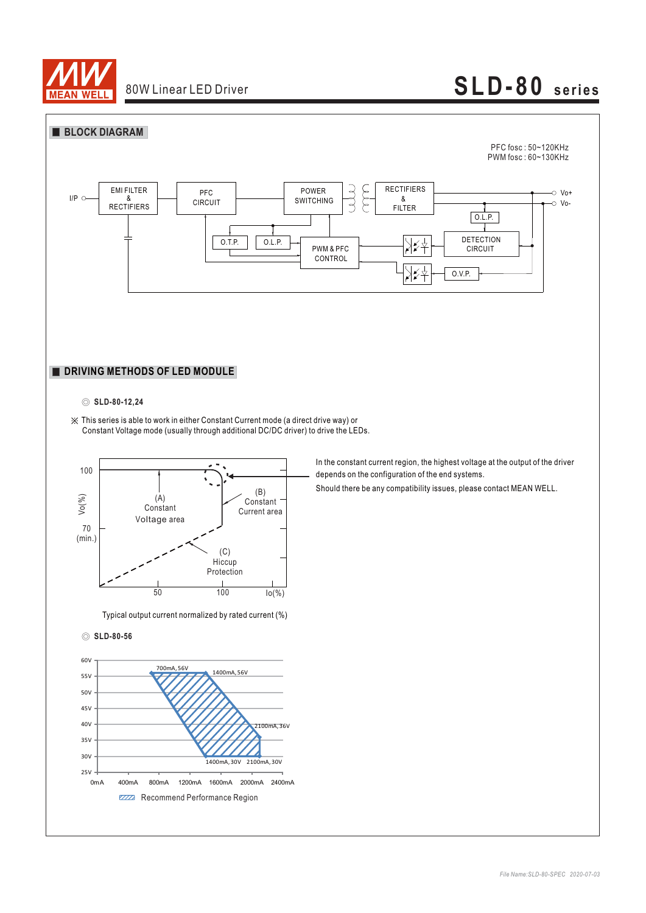



#### ◎ **SLD-80-12,24**

※ This series is able to work in either Constant Current mode (a direct drive way) or Constant Voltage mode (usually through additional DC/DC driver) to drive the LEDs.



Typical output current normalized by rated current (%)

#### ◎ **SLD-80-56**



In the constant current region, the highest voltage at the output of the driver depends on the configuration of the end systems.

Should there be any compatibility issues, please contact MEAN WELL.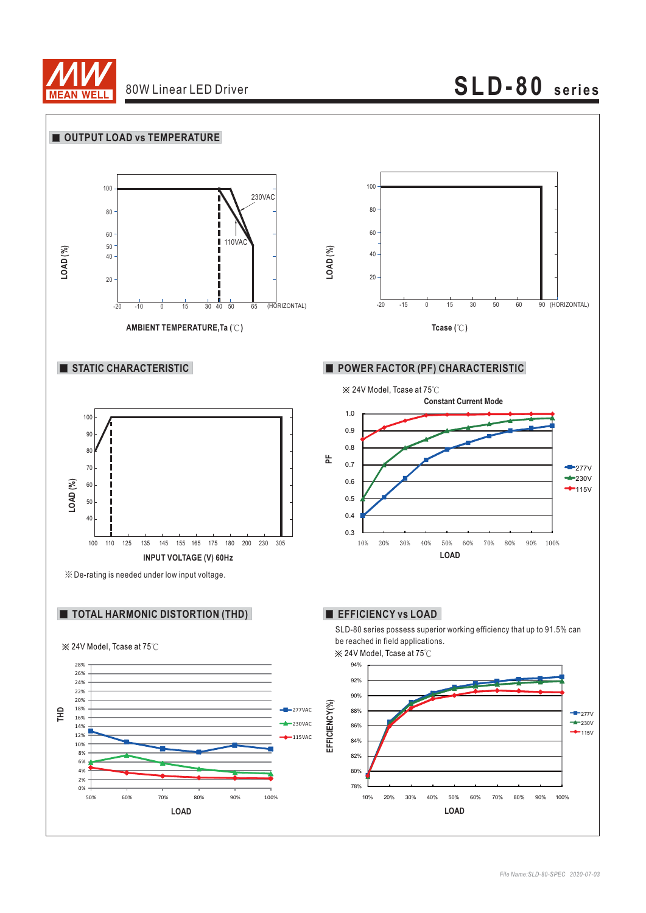

# **SLD-80 series**